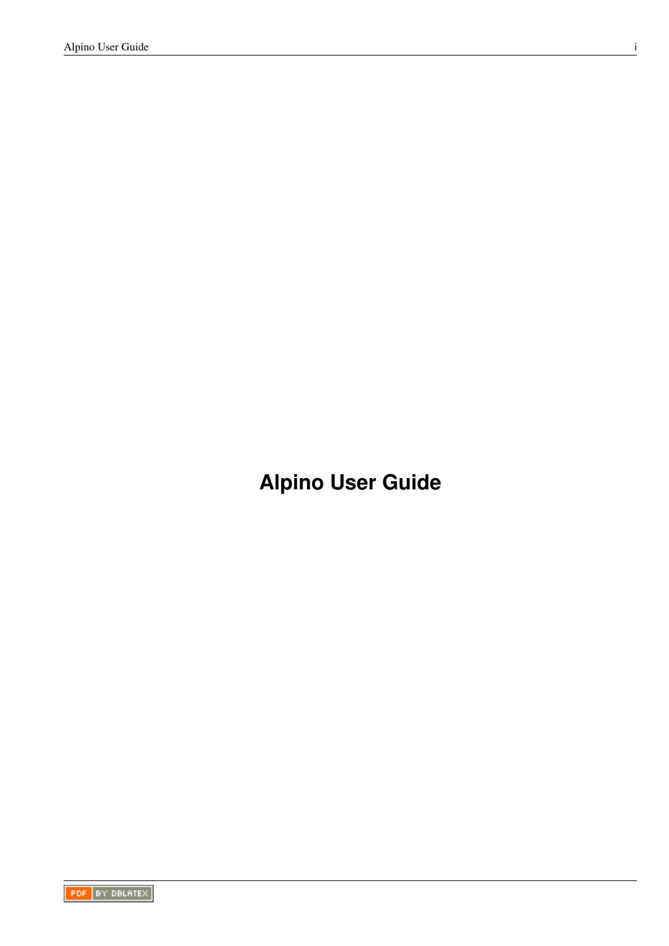**Alpino User Guide**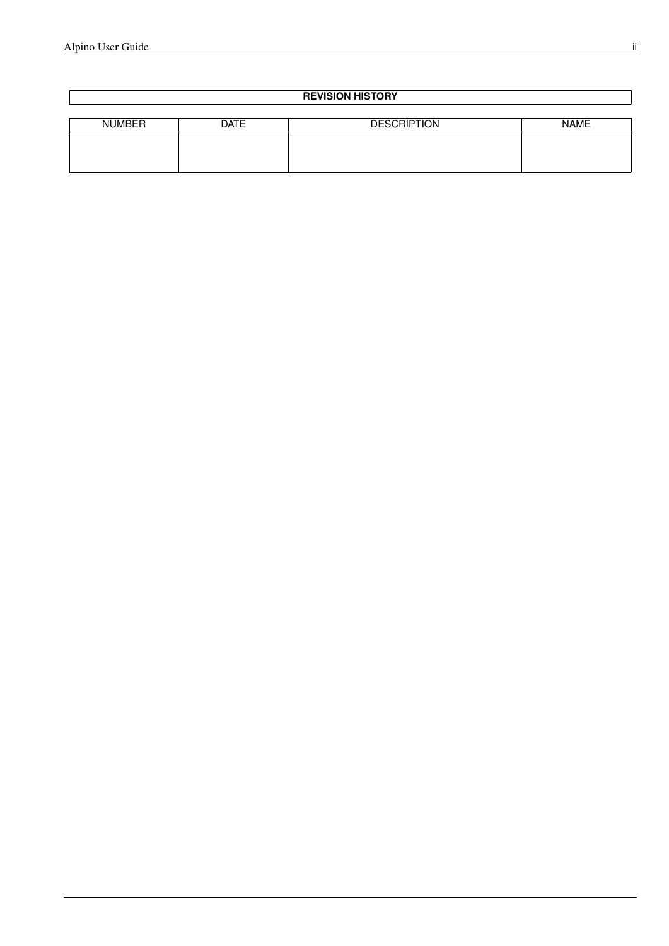#### **REVISION HISTORY**

| <b>NUMBER</b> | <b>DATE</b> | <b>DESCRIPTION</b> | <b>NAME</b> |
|---------------|-------------|--------------------|-------------|
|               |             |                    |             |
|               |             |                    |             |
|               |             |                    |             |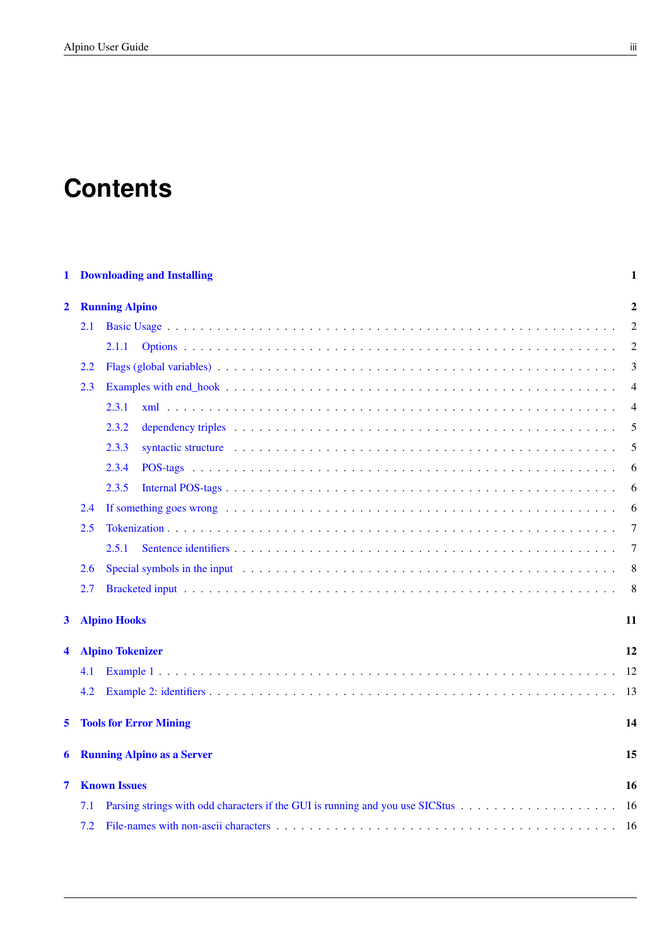# **Contents**

| 1            |                               | <b>Downloading and Installing</b>                                                                                                                                                                                                       | 1              |  |  |
|--------------|-------------------------------|-----------------------------------------------------------------------------------------------------------------------------------------------------------------------------------------------------------------------------------------|----------------|--|--|
| $\mathbf{2}$ |                               | <b>Running Alpino</b>                                                                                                                                                                                                                   |                |  |  |
|              | 2.1                           |                                                                                                                                                                                                                                         | $\overline{2}$ |  |  |
|              |                               | 2.1.1                                                                                                                                                                                                                                   | 2              |  |  |
|              | 2.2                           |                                                                                                                                                                                                                                         | 3              |  |  |
| 2.3          |                               |                                                                                                                                                                                                                                         | 4              |  |  |
|              |                               | 2.3.1                                                                                                                                                                                                                                   | $\overline{4}$ |  |  |
|              |                               | 2.3.2                                                                                                                                                                                                                                   | 5              |  |  |
|              |                               | syntactic structure enterpreteration of the syntactic structure of the syntactic structure of the syntactic structure of the syntactic structure of the syntactic structure of the syntactic structure of the syntactic struct<br>2.3.3 | 5              |  |  |
|              |                               | 2.3.4                                                                                                                                                                                                                                   | 6              |  |  |
|              |                               | 2.3.5                                                                                                                                                                                                                                   | 6              |  |  |
|              | 2.4                           |                                                                                                                                                                                                                                         | 6              |  |  |
|              | 2.5                           |                                                                                                                                                                                                                                         | 7              |  |  |
|              |                               | 2.5.1                                                                                                                                                                                                                                   | 7              |  |  |
|              | 2.6                           | Special symbols in the input end of the set of the set of the input of the set of the set of the set of the set of the set of the set of the set of the set of the set of the set of the set of the set of the set of the set           | 8              |  |  |
|              | 2.7                           |                                                                                                                                                                                                                                         | 8              |  |  |
| $\mathbf{3}$ |                               | <b>Alpino Hooks</b><br>11                                                                                                                                                                                                               |                |  |  |
| 4            |                               | <b>Alpino Tokenizer</b>                                                                                                                                                                                                                 | 12             |  |  |
|              | 4.1                           |                                                                                                                                                                                                                                         | 12             |  |  |
|              | 4.2                           |                                                                                                                                                                                                                                         | 13             |  |  |
| 5            | <b>Tools for Error Mining</b> |                                                                                                                                                                                                                                         |                |  |  |
| 6            |                               | <b>Running Alpino as a Server</b>                                                                                                                                                                                                       | 15             |  |  |
| 7            |                               | <b>Known Issues</b>                                                                                                                                                                                                                     |                |  |  |
|              | 7.1                           |                                                                                                                                                                                                                                         | -16            |  |  |
|              | 7.2                           |                                                                                                                                                                                                                                         | - 16           |  |  |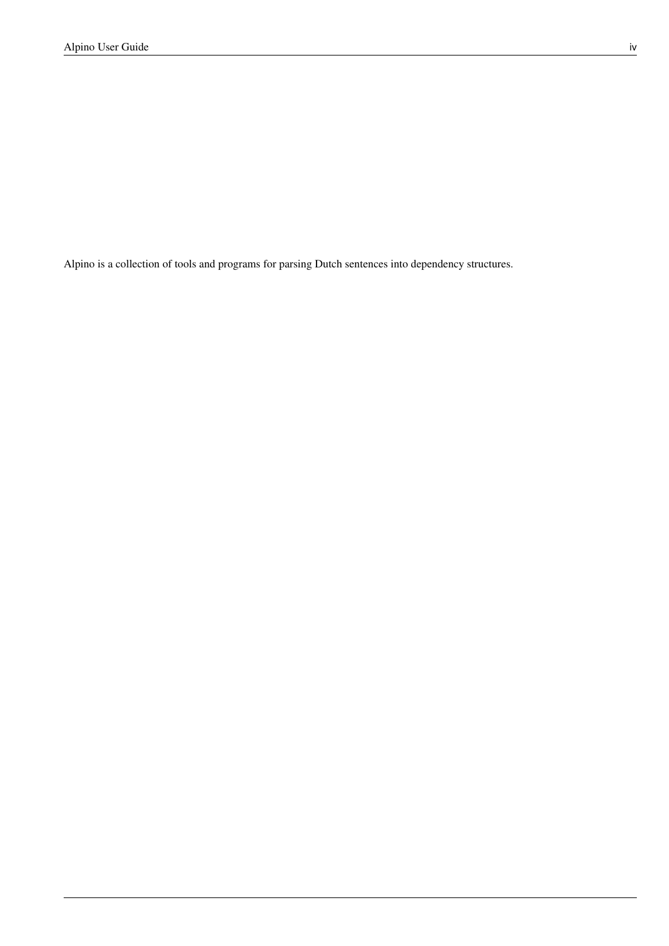Alpino is a collection of tools and programs for parsing Dutch sentences into dependency structures.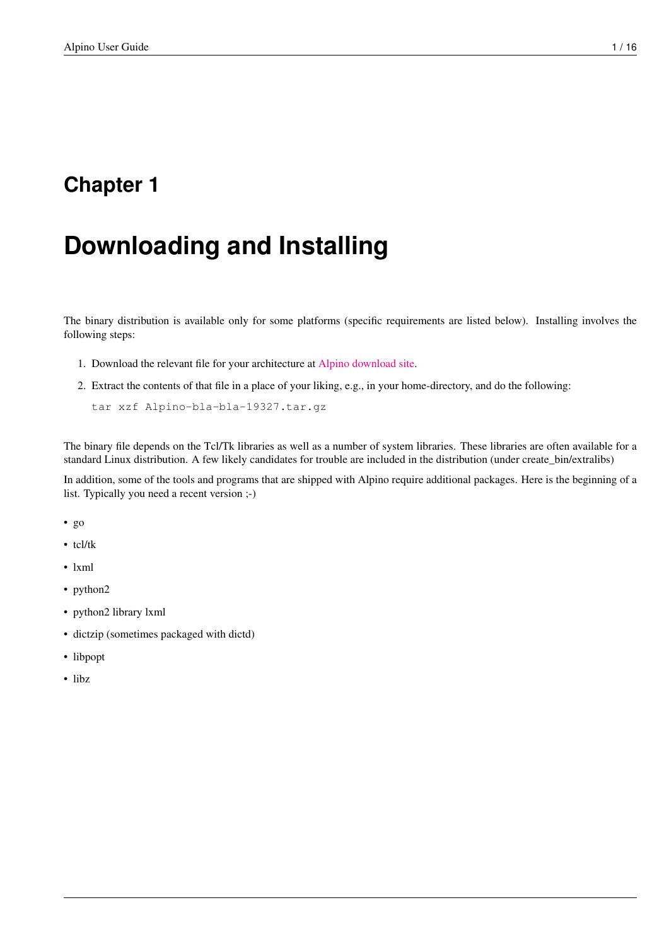# <span id="page-4-0"></span>**Downloading and Installing**

The binary distribution is available only for some platforms (specific requirements are listed below). Installing involves the following steps:

- 1. Download the relevant file for your architecture at [Alpino download site.](http://www.let.rug.nl/vannoord/alp/Alpino/versions/binary)
- 2. Extract the contents of that file in a place of your liking, e.g., in your home-directory, and do the following:

tar xzf Alpino-bla-bla-19327.tar.gz

The binary file depends on the Tcl/Tk libraries as well as a number of system libraries. These libraries are often available for a standard Linux distribution. A few likely candidates for trouble are included in the distribution (under create\_bin/extralibs)

In addition, some of the tools and programs that are shipped with Alpino require additional packages. Here is the beginning of a list. Typically you need a recent version ;-)

- go
- tcl/tk
- lxml
- python2
- python2 library lxml
- dictzip (sometimes packaged with dictd)
- libpopt
- libz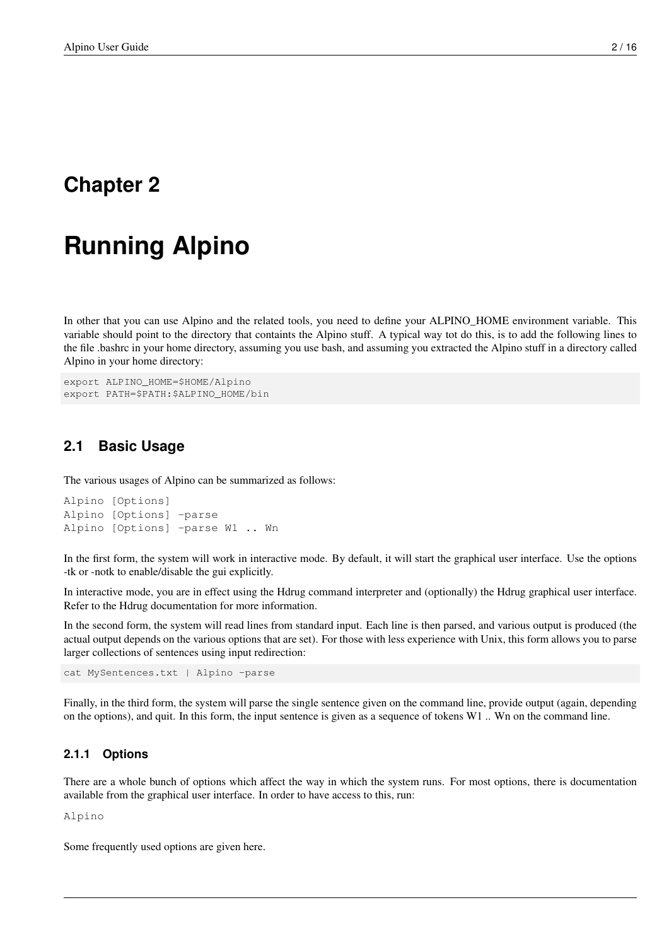# <span id="page-5-0"></span>**Running Alpino**

In other that you can use Alpino and the related tools, you need to define your ALPINO HOME environment variable. This variable should point to the directory that containts the Alpino stuff. A typical way tot do this, is to add the following lines to the file .bashrc in your home directory, assuming you use bash, and assuming you extracted the Alpino stuff in a directory called Alpino in your home directory:

```
export ALPINO_HOME=$HOME/Alpino
export PATH=$PATH:$ALPINO_HOME/bin
```
#### <span id="page-5-1"></span>**2.1 Basic Usage**

The various usages of Alpino can be summarized as follows:

```
Alpino [Options]
Alpino [Options] -parse
Alpino [Options] -parse W1 .. Wn
```
In the first form, the system will work in interactive mode. By default, it will start the graphical user interface. Use the options -tk or -notk to enable/disable the gui explicitly.

In interactive mode, you are in effect using the Hdrug command interpreter and (optionally) the Hdrug graphical user interface. Refer to the Hdrug documentation for more information.

In the second form, the system will read lines from standard input. Each line is then parsed, and various output is produced (the actual output depends on the various options that are set). For those with less experience with Unix, this form allows you to parse larger collections of sentences using input redirection:

cat MySentences.txt | Alpino -parse

Finally, in the third form, the system will parse the single sentence given on the command line, provide output (again, depending on the options), and quit. In this form, the input sentence is given as a sequence of tokens W1 .. Wn on the command line.

#### <span id="page-5-2"></span>**2.1.1 Options**

There are a whole bunch of options which affect the way in which the system runs. For most options, there is documentation available from the graphical user interface. In order to have access to this, run:

Alpino

Some frequently used options are given here.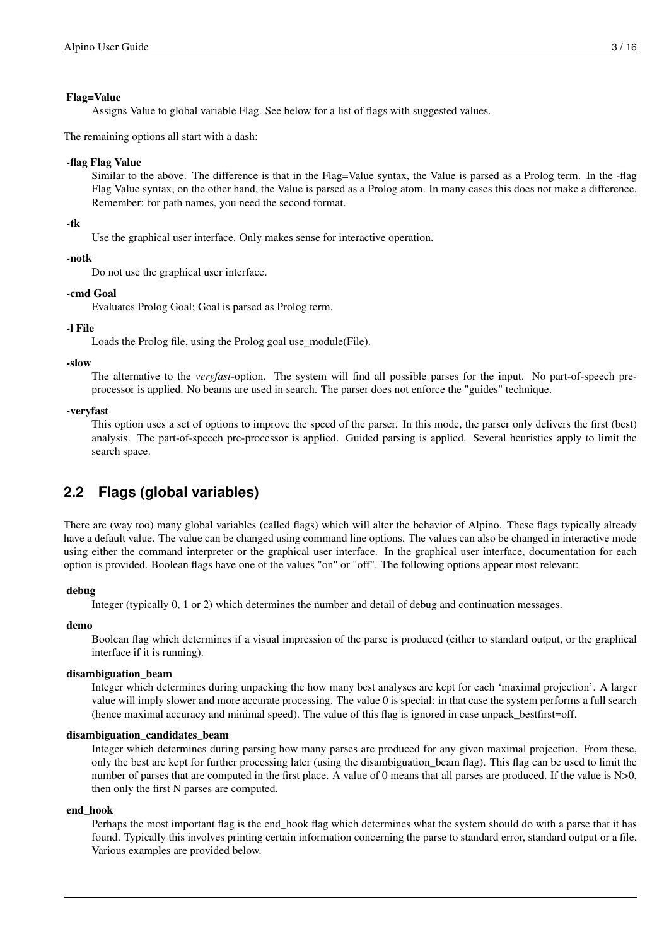#### Flag=Value

Assigns Value to global variable Flag. See below for a list of flags with suggested values.

The remaining options all start with a dash:

#### -flag Flag Value

Similar to the above. The difference is that in the Flag=Value syntax, the Value is parsed as a Prolog term. In the -flag Flag Value syntax, on the other hand, the Value is parsed as a Prolog atom. In many cases this does not make a difference. Remember: for path names, you need the second format.

#### -tk

Use the graphical user interface. Only makes sense for interactive operation.

#### -notk

Do not use the graphical user interface.

#### -cmd Goal

Evaluates Prolog Goal; Goal is parsed as Prolog term.

#### -l File

Loads the Prolog file, using the Prolog goal use\_module(File).

#### -slow

The alternative to the *veryfast*-option. The system will find all possible parses for the input. No part-of-speech preprocessor is applied. No beams are used in search. The parser does not enforce the "guides" technique.

#### -veryfast

This option uses a set of options to improve the speed of the parser. In this mode, the parser only delivers the first (best) analysis. The part-of-speech pre-processor is applied. Guided parsing is applied. Several heuristics apply to limit the search space.

#### <span id="page-6-0"></span>**2.2 Flags (global variables)**

There are (way too) many global variables (called flags) which will alter the behavior of Alpino. These flags typically already have a default value. The value can be changed using command line options. The values can also be changed in interactive mode using either the command interpreter or the graphical user interface. In the graphical user interface, documentation for each option is provided. Boolean flags have one of the values "on" or "off". The following options appear most relevant:

#### debug

Integer (typically 0, 1 or 2) which determines the number and detail of debug and continuation messages.

#### demo

Boolean flag which determines if a visual impression of the parse is produced (either to standard output, or the graphical interface if it is running).

#### disambiguation\_beam

Integer which determines during unpacking the how many best analyses are kept for each 'maximal projection'. A larger value will imply slower and more accurate processing. The value 0 is special: in that case the system performs a full search (hence maximal accuracy and minimal speed). The value of this flag is ignored in case unpack\_bestfirst=off.

#### disambiguation\_candidates\_beam

Integer which determines during parsing how many parses are produced for any given maximal projection. From these, only the best are kept for further processing later (using the disambiguation\_beam flag). This flag can be used to limit the number of parses that are computed in the first place. A value of 0 means that all parses are produced. If the value is  $N>0$ , then only the first N parses are computed.

#### end\_hook

Perhaps the most important flag is the end\_hook flag which determines what the system should do with a parse that it has found. Typically this involves printing certain information concerning the parse to standard error, standard output or a file. Various examples are provided below.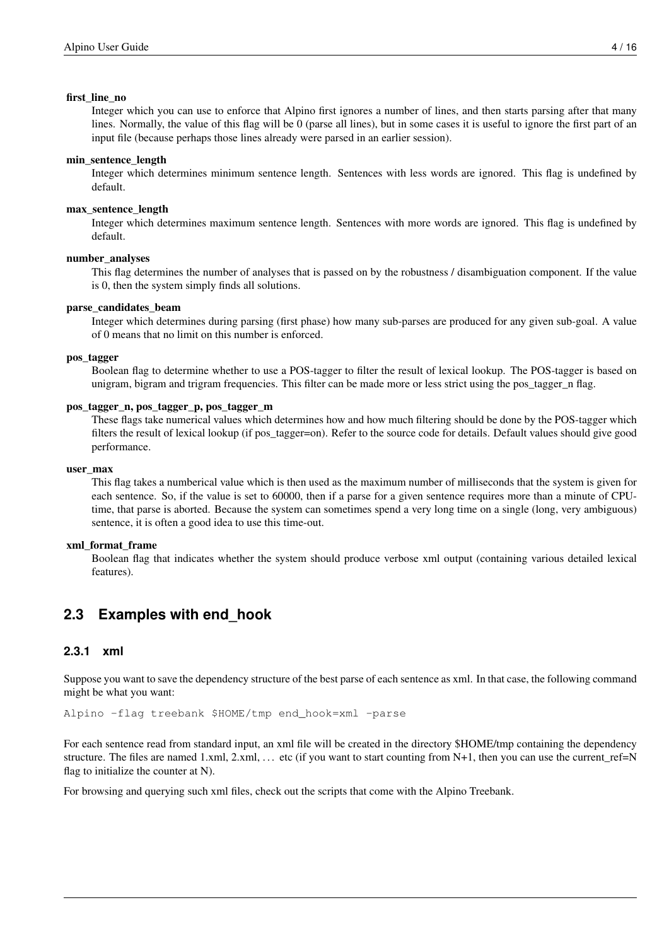#### first line no

Integer which you can use to enforce that Alpino first ignores a number of lines, and then starts parsing after that many lines. Normally, the value of this flag will be 0 (parse all lines), but in some cases it is useful to ignore the first part of an input file (because perhaps those lines already were parsed in an earlier session).

#### min\_sentence\_length

Integer which determines minimum sentence length. Sentences with less words are ignored. This flag is undefined by default.

#### max\_sentence\_length

Integer which determines maximum sentence length. Sentences with more words are ignored. This flag is undefined by default.

#### number\_analyses

This flag determines the number of analyses that is passed on by the robustness / disambiguation component. If the value is 0, then the system simply finds all solutions.

#### parse\_candidates\_beam

Integer which determines during parsing (first phase) how many sub-parses are produced for any given sub-goal. A value of 0 means that no limit on this number is enforced.

#### pos\_tagger

Boolean flag to determine whether to use a POS-tagger to filter the result of lexical lookup. The POS-tagger is based on unigram, bigram and trigram frequencies. This filter can be made more or less strict using the pos\_tagger\_n flag.

#### pos\_tagger\_n, pos\_tagger\_p, pos\_tagger\_m

These flags take numerical values which determines how and how much filtering should be done by the POS-tagger which filters the result of lexical lookup (if pos\_tagger=on). Refer to the source code for details. Default values should give good performance.

#### user\_max

This flag takes a numberical value which is then used as the maximum number of milliseconds that the system is given for each sentence. So, if the value is set to 60000, then if a parse for a given sentence requires more than a minute of CPUtime, that parse is aborted. Because the system can sometimes spend a very long time on a single (long, very ambiguous) sentence, it is often a good idea to use this time-out.

#### xml\_format\_frame

Boolean flag that indicates whether the system should produce verbose xml output (containing various detailed lexical features).

#### <span id="page-7-0"></span>**2.3 Examples with end\_hook**

#### <span id="page-7-1"></span>**2.3.1 xml**

Suppose you want to save the dependency structure of the best parse of each sentence as xml. In that case, the following command might be what you want:

Alpino -flag treebank \$HOME/tmp end\_hook=xml -parse

For each sentence read from standard input, an xml file will be created in the directory \$HOME/tmp containing the dependency structure. The files are named 1.xml,  $2xml$ , ... etc (if you want to start counting from N+1, then you can use the current\_ref=N flag to initialize the counter at N).

For browsing and querying such xml files, check out the scripts that come with the Alpino Treebank.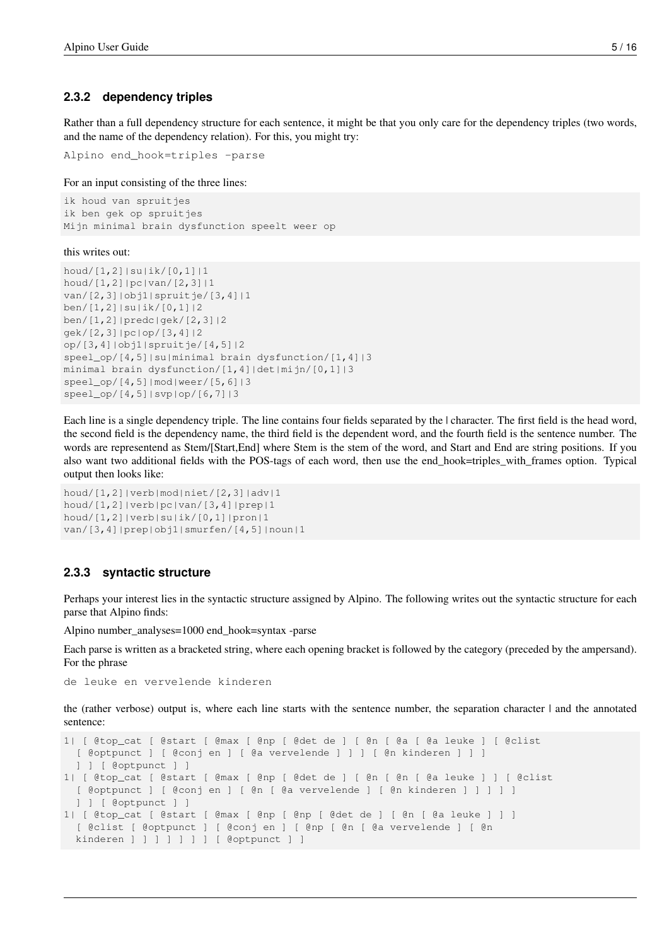#### <span id="page-8-0"></span>**2.3.2 dependency triples**

Rather than a full dependency structure for each sentence, it might be that you only care for the dependency triples (two words, and the name of the dependency relation). For this, you might try:

```
Alpino end_hook=triples -parse
```
For an input consisting of the three lines:

```
ik houd van spruitjes
ik ben gek op spruitjes
Mijn minimal brain dysfunction speelt weer op
```
this writes out:

```
houd/[1,2]|su|ik/[0,1]|1
houd/[1,2]|pc|van/[2,3]|1
van/[2,3]|obj1|spruitje/[3,4]|1
ben/[1,2]|su|ik/[0,1]|2
ben/[1,2]|predc|gek/[2,3]|2
gek/[2,3]|pc|op/[3,4]|2
op/[3,4]|obj1|spruitje/[4,5]|2
speel_op/[4,5]|su|minimal brain dysfunction/[1,4]|3
minimal brain dysfunction/[1,4]|det|mijn/[0,1]|3
speel_op/[4,5]|mod|weer/[5,6]|3
speel_op/[4,5]|svp|op/[6,7]|3
```
Each line is a single dependency triple. The line contains four fields separated by the | character. The first field is the head word, the second field is the dependency name, the third field is the dependent word, and the fourth field is the sentence number. The words are representend as Stem/[Start,End] where Stem is the stem of the word, and Start and End are string positions. If you also want two additional fields with the POS-tags of each word, then use the end\_hook=triples\_with\_frames option. Typical output then looks like:

```
houd/[1,2]|verb|mod|niet/[2,3]|adv|1
houd/[1,2]|verb|pc|van/[3,4]|prep|1
houd/[1,2]|verb|su|ik/[0,1]|pron|1
van/[3,4]|prep|obj1|smurfen/[4,5]|noun|1
```
#### <span id="page-8-1"></span>**2.3.3 syntactic structure**

Perhaps your interest lies in the syntactic structure assigned by Alpino. The following writes out the syntactic structure for each parse that Alpino finds:

Alpino number\_analyses=1000 end\_hook=syntax -parse

Each parse is written as a bracketed string, where each opening bracket is followed by the category (preceded by the ampersand). For the phrase

de leuke en vervelende kinderen

the (rather verbose) output is, where each line starts with the sentence number, the separation character | and the annotated sentence:

```
1| [ @top_cat [ @start [ @max [ @np [ @det de ] [ @n [ @a [ @a leuke ] [ @clist
 [ @optpunct ] [ @conj en ] [ @a vervelende ] ] ] [ @n kinderen ] ] ]
  ] ] [ @optpunct ] ]
1| [ @top_cat [ @start [ @max [ @np [ @det de ] [ @n [ @n [ @a leuke ] ] [ @clist
 [ @optpunct ] [ @conj en ] [ @n [ @a vervelende ] [ @n kinderen ] ] ] ] ]
  ] ] [ @optpunct ] ]
1| [ @top_cat [ @start [ @max [ @np [ @np [ @det de ] [ @n [ @a leuke ] ] ]
  [ @clist [ @optpunct ] [ @conj en ] [ @np [ @n [ @a vervelende ] [ @n
  kinderen ] ] ] ] ] ] [ @optpunct ] ]
```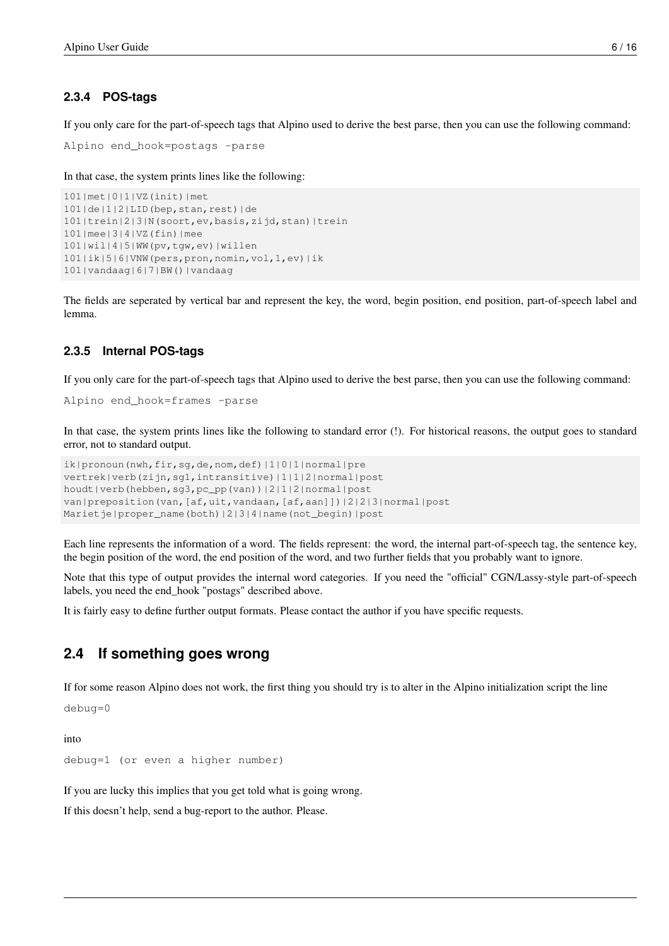#### <span id="page-9-0"></span>**2.3.4 POS-tags**

If you only care for the part-of-speech tags that Alpino used to derive the best parse, then you can use the following command:

```
Alpino end_hook=postags -parse
```
In that case, the system prints lines like the following:

```
101|met|0|1|VZ(init)|met
101|de|1|2|LID(bep,stan,rest)|de
101|trein|2|3|N(soort,ev,basis,zijd,stan)|trein
101|mee|3|4|VZ(fin)|mee
101|wil|4|5|WW(pv,tgw,ev)|willen
101|ik|5|6|VNW(pers,pron,nomin,vol,1,ev)|ik
101|vandaag|6|7|BW()|vandaag
```
The fields are seperated by vertical bar and represent the key, the word, begin position, end position, part-of-speech label and lemma.

#### <span id="page-9-1"></span>**2.3.5 Internal POS-tags**

If you only care for the part-of-speech tags that Alpino used to derive the best parse, then you can use the following command:

```
Alpino end_hook=frames -parse
```
In that case, the system prints lines like the following to standard error (!). For historical reasons, the output goes to standard error, not to standard output.

```
ik|pronoun(nwh,fir,sq,de,nom,def)|1|0|1|normal|pre
vertrek|verb(zijn,sg1,intransitive)|1|1|2|normal|post
houdt|verb(hebben,sg3,pc_pp(van))|2|1|2|normal|post
van|preposition(van,[af,uit,vandaan,[af,aan]])|2|2|3|normal|post
Marietje|proper_name(both)|2|3|4|name(not_begin)|post
```
Each line represents the information of a word. The fields represent: the word, the internal part-of-speech tag, the sentence key, the begin position of the word, the end position of the word, and two further fields that you probably want to ignore.

Note that this type of output provides the internal word categories. If you need the "official" CGN/Lassy-style part-of-speech labels, you need the end\_hook "postags" described above.

It is fairly easy to define further output formats. Please contact the author if you have specific requests.

#### <span id="page-9-2"></span>**2.4 If something goes wrong**

If for some reason Alpino does not work, the first thing you should try is to alter in the Alpino initialization script the line

debug=0

into

```
debug=1 (or even a higher number)
```
If you are lucky this implies that you get told what is going wrong.

If this doesn't help, send a bug-report to the author. Please.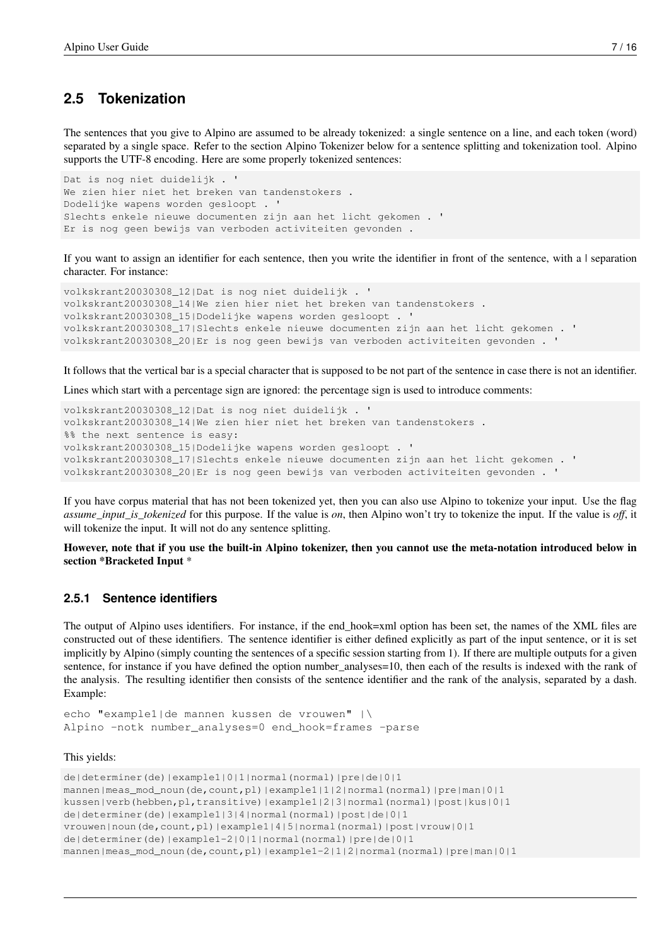### <span id="page-10-0"></span>**2.5 Tokenization**

The sentences that you give to Alpino are assumed to be already tokenized: a single sentence on a line, and each token (word) separated by a single space. Refer to the section Alpino Tokenizer below for a sentence splitting and tokenization tool. Alpino supports the UTF-8 encoding. Here are some properly tokenized sentences:

```
Dat is nog niet duidelijk . '
We zien hier niet het breken van tandenstokers .
Dodelijke wapens worden gesloopt . '
Slechts enkele nieuwe documenten zijn aan het licht gekomen . '
Er is nog geen bewijs van verboden activiteiten gevonden .
```
If you want to assign an identifier for each sentence, then you write the identifier in front of the sentence, with a | separation character. For instance:

```
volkskrant20030308_12|Dat is nog niet duidelijk . '
volkskrant20030308_14|We zien hier niet het breken van tandenstokers .
volkskrant20030308_15|Dodelijke wapens worden gesloopt . '
volkskrant20030308_17|Slechts enkele nieuwe documenten zijn aan het licht gekomen . '
volkskrant20030308_20|Er is nog geen bewijs van verboden activiteiten gevonden . '
```
It follows that the vertical bar is a special character that is supposed to be not part of the sentence in case there is not an identifier.

Lines which start with a percentage sign are ignored: the percentage sign is used to introduce comments:

```
volkskrant20030308_12|Dat is nog niet duidelijk . '
volkskrant20030308_14|We zien hier niet het breken van tandenstokers .
%% the next sentence is easy:
volkskrant20030308_15|Dodelijke wapens worden gesloopt . '
volkskrant20030308_17|Slechts enkele nieuwe documenten zijn aan het licht gekomen . '
volkskrant20030308_20|Er is nog geen bewijs van verboden activiteiten gevonden . '
```
If you have corpus material that has not been tokenized yet, then you can also use Alpino to tokenize your input. Use the flag *assume\_input\_is\_tokenized* for this purpose. If the value is *on*, then Alpino won't try to tokenize the input. If the value is *off*, it will tokenize the input. It will not do any sentence splitting.

However, note that if you use the built-in Alpino tokenizer, then you cannot use the meta-notation introduced below in section \*Bracketed Input \*

#### <span id="page-10-1"></span>**2.5.1 Sentence identifiers**

The output of Alpino uses identifiers. For instance, if the end\_hook=xml option has been set, the names of the XML files are constructed out of these identifiers. The sentence identifier is either defined explicitly as part of the input sentence, or it is set implicitly by Alpino (simply counting the sentences of a specific session starting from 1). If there are multiple outputs for a given sentence, for instance if you have defined the option number\_analyses=10, then each of the results is indexed with the rank of the analysis. The resulting identifier then consists of the sentence identifier and the rank of the analysis, separated by a dash. Example:

echo "example1|de mannen kussen de vrouwen" |\ Alpino -notk number\_analyses=0 end\_hook=frames -parse

This yields:

```
de|determiner(de)|example1|0|1|normal(normal)|pre|de|0|1
mannen|meas_mod_noun(de,count,pl)|example1|1|2|normal(normal)|pre|man|0|1
kussen|verb(hebben,pl,transitive)|example1|2|3|normal(normal)|post|kus|0|1
de|determiner(de)|example1|3|4|normal(normal)|post|de|0|1
vrouwen|noun(de,count,pl)|example1|4|5|normal(normal)|post|vrouw|0|1
de|determiner(de)|example1-2|0|1|normal(normal)|pre|de|0|1
mannen|meas_mod_noun(de,count,pl)|example1-2|1|2|normal(normal)|pre|man|0|1
```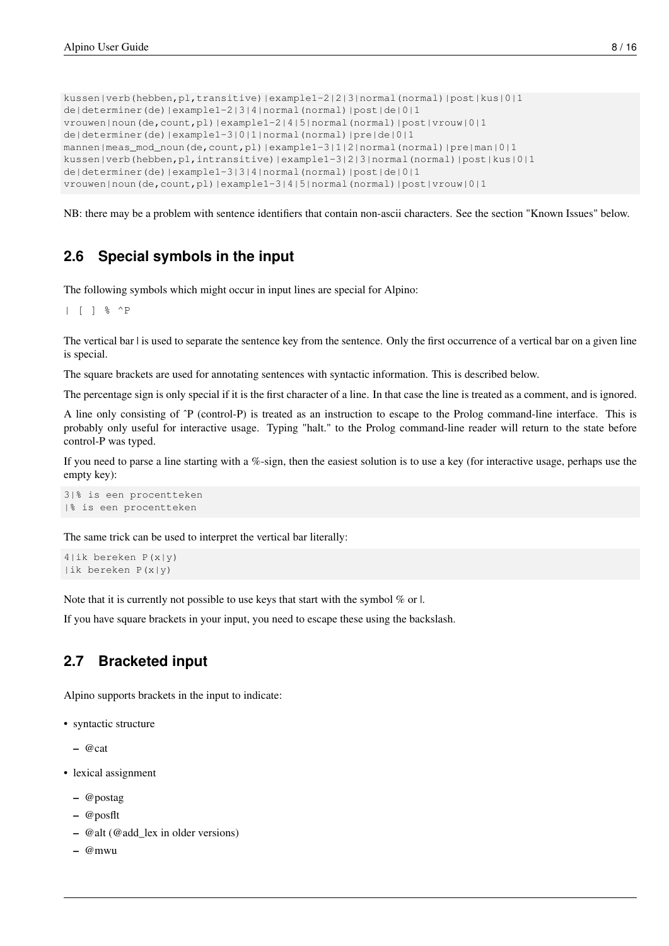```
kussen|verb(hebben,pl,transitive)|example1-2|2|3|normal(normal)|post|kus|0|1
de|determiner(de)|example1-2|3|4|normal(normal)|post|de|0|1
vrouwen|noun(de,count,pl)|example1-2|4|5|normal(normal)|post|vrouw|0|1
de|determiner(de)|example1-3|0|1|normal(normal)|pre|de|0|1
mannen|meas_mod_noun(de,count,pl)|example1-3|1|2|normal(normal)|pre|man|0|1
kussen|verb(hebben,pl,intransitive)|example1-3|2|3|normal(normal)|post|kus|0|1
de|determiner(de)|example1-3|3|4|normal(normal)|post|de|0|1
vrouwen|noun(de,count,pl)|example1-3|4|5|normal(normal)|post|vrouw|0|1
```
NB: there may be a problem with sentence identifiers that contain non-ascii characters. See the section "Known Issues" below.

### <span id="page-11-0"></span>**2.6 Special symbols in the input**

The following symbols which might occur in input lines are special for Alpino:

| [ ] % ^P

The vertical bar I is used to separate the sentence key from the sentence. Only the first occurrence of a vertical bar on a given line is special.

The square brackets are used for annotating sentences with syntactic information. This is described below.

The percentage sign is only special if it is the first character of a line. In that case the line is treated as a comment, and is ignored.

A line only consisting of ˆP (control-P) is treated as an instruction to escape to the Prolog command-line interface. This is probably only useful for interactive usage. Typing "halt." to the Prolog command-line reader will return to the state before control-P was typed.

If you need to parse a line starting with a %-sign, then the easiest solution is to use a key (for interactive usage, perhaps use the empty key):

```
3|% is een procentteken
|% is een procentteken
```
The same trick can be used to interpret the vertical bar literally:

```
4|ik bereken P(x|y)
|ik bereken P(x|y)
```
Note that it is currently not possible to use keys that start with the symbol % or |.

If you have square brackets in your input, you need to escape these using the backslash.

### <span id="page-11-1"></span>**2.7 Bracketed input**

Alpino supports brackets in the input to indicate:

- syntactic structure
	- $-$  @cat
- lexical assignment
	- @postag
	- @posflt
	- @alt (@add\_lex in older versions)
	- @mwu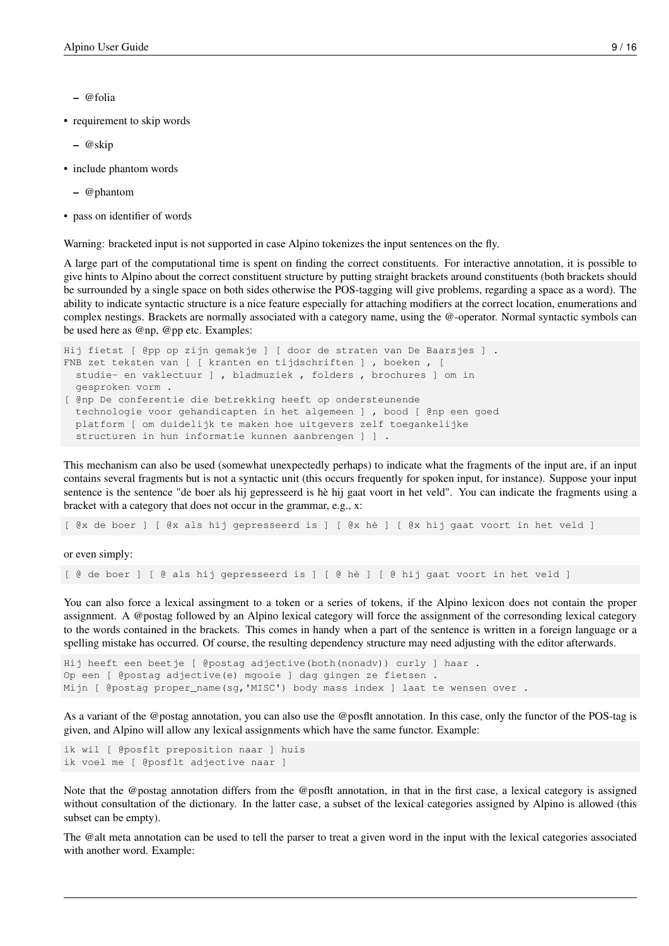- @folia
- requirement to skip words
	- @skip
- include phantom words
	- @phantom
- pass on identifier of words

Warning: bracketed input is not supported in case Alpino tokenizes the input sentences on the fly.

A large part of the computational time is spent on finding the correct constituents. For interactive annotation, it is possible to give hints to Alpino about the correct constituent structure by putting straight brackets around constituents (both brackets should be surrounded by a single space on both sides otherwise the POS-tagging will give problems, regarding a space as a word). The ability to indicate syntactic structure is a nice feature especially for attaching modifiers at the correct location, enumerations and complex nestings. Brackets are normally associated with a category name, using the @-operator. Normal syntactic symbols can be used here as @np, @pp etc. Examples:

```
Hij fietst [ @pp op zijn gemakje ] [ door de straten van De Baarsjes ] .
FNB zet teksten van [ [ kranten en tijdschriften ] , boeken , [
  studie- en vaklectuur ] , bladmuziek , folders , brochures ] om in
  gesproken vorm .
[ @np De conferentie die betrekking heeft op ondersteunende
  technologie voor gehandicapten in het algemeen ] , bood [ @np een goed
  platform [ om duidelijk te maken hoe uitgevers zelf toegankelijke
  structuren in hun informatie kunnen aanbrengen ] ] .
```
This mechanism can also be used (somewhat unexpectedly perhaps) to indicate what the fragments of the input are, if an input contains several fragments but is not a syntactic unit (this occurs frequently for spoken input, for instance). Suppose your input sentence is the sentence "de boer als hij gepresseerd is hè hij gaat voort in het veld". You can indicate the fragments using a bracket with a category that does not occur in the grammar, e.g., x:

[ @x de boer ] [ @x als hij gepresseerd is ] [ @x hè ] [ @x hij gaat voort in het veld ]

or even simply:

[ @ de boer ] [ @ als hij gepresseerd is ] [ @ hè ] [ @ hij gaat voort in het veld ]

You can also force a lexical assingment to a token or a series of tokens, if the Alpino lexicon does not contain the proper assignment. A @postag followed by an Alpino lexical category will force the assignment of the corresonding lexical category to the words contained in the brackets. This comes in handy when a part of the sentence is written in a foreign language or a spelling mistake has occurred. Of course, the resulting dependency structure may need adjusting with the editor afterwards.

```
Hij heeft een beetje [ @postag adjective(both(nonadv)) curly ] haar .
Op een [ @postag adjective(e) mgooie ] dag gingen ze fietsen .
Mijn [ @postag proper_name(sg,'MISC') body mass index ] laat te wensen over .
```
As a variant of the @postag annotation, you can also use the @posflt annotation. In this case, only the functor of the POS-tag is given, and Alpino will allow any lexical assignments which have the same functor. Example:

```
ik wil [ @posflt preposition naar ] huis
ik voel me [ @posflt adjective naar ]
```
Note that the @postag annotation differs from the @posflt annotation, in that in the first case, a lexical category is assigned without consultation of the dictionary. In the latter case, a subset of the lexical categories assigned by Alpino is allowed (this subset can be empty).

The @alt meta annotation can be used to tell the parser to treat a given word in the input with the lexical categories associated with another word. Example: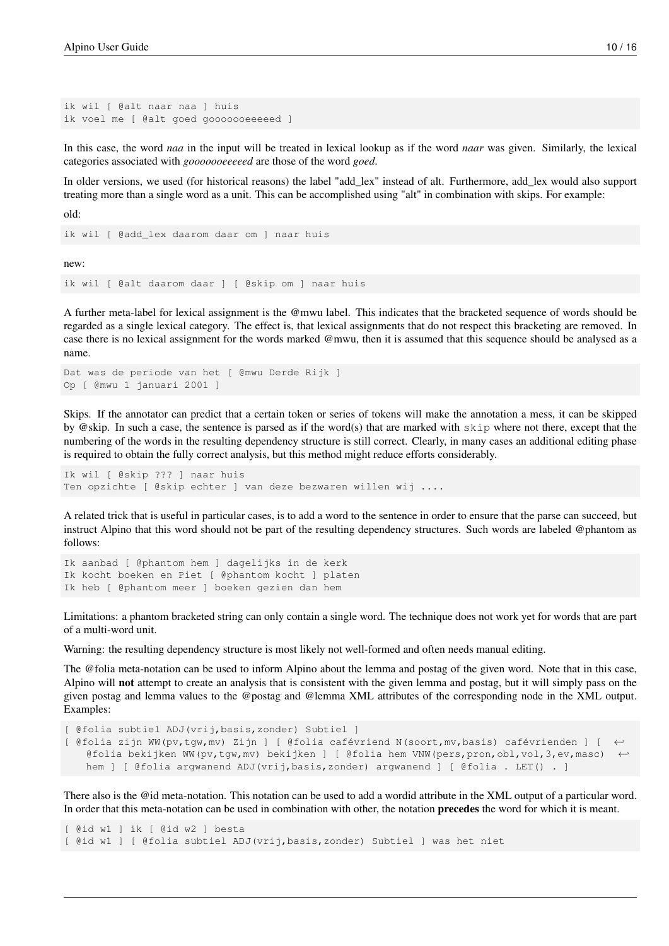```
ik wil [ @alt naar naa ] huis
ik voel me [ @alt goed gooooooeeeeed ]
```
In this case, the word *naa* in the input will be treated in lexical lookup as if the word *naar* was given. Similarly, the lexical categories associated with *gooooooeeeeed* are those of the word *goed*.

In older versions, we used (for historical reasons) the label "add\_lex" instead of alt. Furthermore, add\_lex would also support treating more than a single word as a unit. This can be accomplished using "alt" in combination with skips. For example:

old:

```
ik wil [ @add_lex daarom daar om ] naar huis
```
new:

ik wil [ @alt daarom daar ] [ @skip om ] naar huis

A further meta-label for lexical assignment is the @mwu label. This indicates that the bracketed sequence of words should be regarded as a single lexical category. The effect is, that lexical assignments that do not respect this bracketing are removed. In case there is no lexical assignment for the words marked @mwu, then it is assumed that this sequence should be analysed as a name.

```
Dat was de periode van het [ @mwu Derde Rijk ]
Op [ @mwu 1 januari 2001 ]
```
Skips. If the annotator can predict that a certain token or series of tokens will make the annotation a mess, it can be skipped by @skip. In such a case, the sentence is parsed as if the word(s) that are marked with skip where not there, except that the numbering of the words in the resulting dependency structure is still correct. Clearly, in many cases an additional editing phase is required to obtain the fully correct analysis, but this method might reduce efforts considerably.

```
Ik wil [ @skip ??? ] naar huis
Ten opzichte [ @skip echter ] van deze bezwaren willen wij ....
```
A related trick that is useful in particular cases, is to add a word to the sentence in order to ensure that the parse can succeed, but instruct Alpino that this word should not be part of the resulting dependency structures. Such words are labeled @phantom as follows:

```
Ik aanbad [ @phantom hem ] dagelijks in de kerk
Ik kocht boeken en Piet [ @phantom kocht ] platen
Ik heb [ @phantom meer ] boeken gezien dan hem
```
Limitations: a phantom bracketed string can only contain a single word. The technique does not work yet for words that are part of a multi-word unit.

Warning: the resulting dependency structure is most likely not well-formed and often needs manual editing.

The @folia meta-notation can be used to inform Alpino about the lemma and postag of the given word. Note that in this case, Alpino will not attempt to create an analysis that is consistent with the given lemma and postag, but it will simply pass on the given postag and lemma values to the @postag and @lemma XML attributes of the corresponding node in the XML output. Examples:

```
[ @folia subtiel ADJ(vrij,basis,zonder) Subtiel ]
[ @folia zijn WW(pv,tgw,mv) Zijn ] [ @folia cafévriend N(soort,mv,basis) cafévrienden ] [ ←-
   @folia bekijken WW(pv,tgw,mv) bekijken ] [ @folia hem VNW(pers,pron,obl,vol,3,ev,masc)
   hem ] [ @folia argwanend ADJ(vrij,basis,zonder) argwanend ] [ @folia . LET() . ]
```
There also is the @id meta-notation. This notation can be used to add a wordid attribute in the XML output of a particular word. In order that this meta-notation can be used in combination with other, the notation precedes the word for which it is meant.

```
[ @id w1 ] ik [ @id w2 ] besta
[ @id w1 ] [ @folia subtiel ADJ(vrij,basis,zonder) Subtiel ] was het niet
```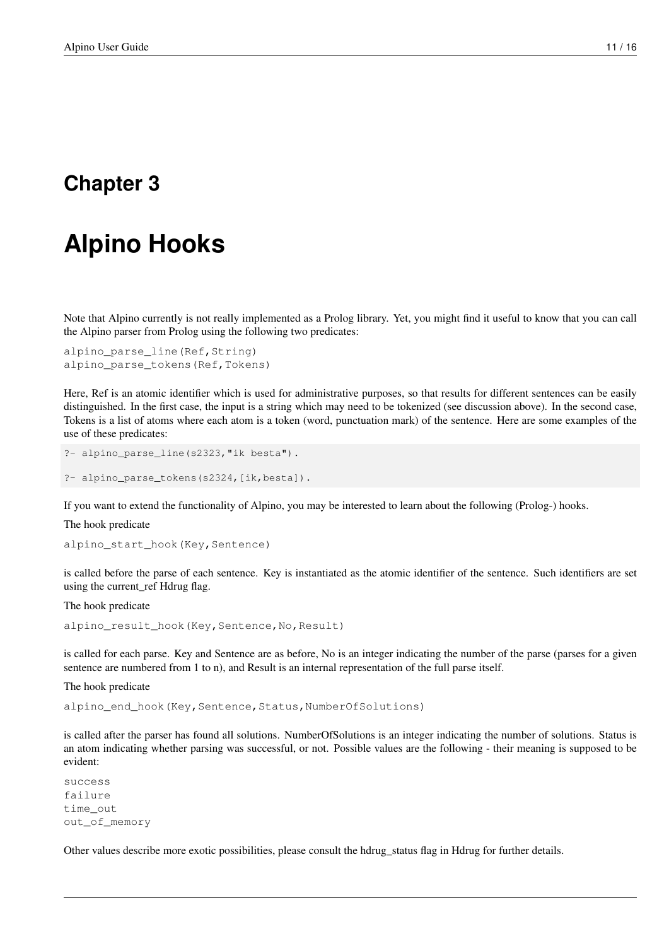# <span id="page-14-0"></span>**Alpino Hooks**

Note that Alpino currently is not really implemented as a Prolog library. Yet, you might find it useful to know that you can call the Alpino parser from Prolog using the following two predicates:

```
alpino_parse_line(Ref, String)
alpino_parse_tokens(Ref,Tokens)
```
Here, Ref is an atomic identifier which is used for administrative purposes, so that results for different sentences can be easily distinguished. In the first case, the input is a string which may need to be tokenized (see discussion above). In the second case, Tokens is a list of atoms where each atom is a token (word, punctuation mark) of the sentence. Here are some examples of the use of these predicates:

```
?- alpino_parse_line(s2323,"ik besta").
```
?- alpino\_parse\_tokens(s2324,[ik,besta]).

If you want to extend the functionality of Alpino, you may be interested to learn about the following (Prolog-) hooks.

#### The hook predicate

alpino\_start\_hook(Key, Sentence)

is called before the parse of each sentence. Key is instantiated as the atomic identifier of the sentence. Such identifiers are set using the current\_ref Hdrug flag.

#### The hook predicate

```
alpino_result_hook(Key, Sentence, No, Result)
```
is called for each parse. Key and Sentence are as before, No is an integer indicating the number of the parse (parses for a given sentence are numbered from 1 to n), and Result is an internal representation of the full parse itself.

The hook predicate

alpino\_end\_hook(Key, Sentence, Status, NumberOfSolutions)

is called after the parser has found all solutions. NumberOfSolutions is an integer indicating the number of solutions. Status is an atom indicating whether parsing was successful, or not. Possible values are the following - their meaning is supposed to be evident:

```
success
failure
time_out
out_of_memory
```
Other values describe more exotic possibilities, please consult the hdrug\_status flag in Hdrug for further details.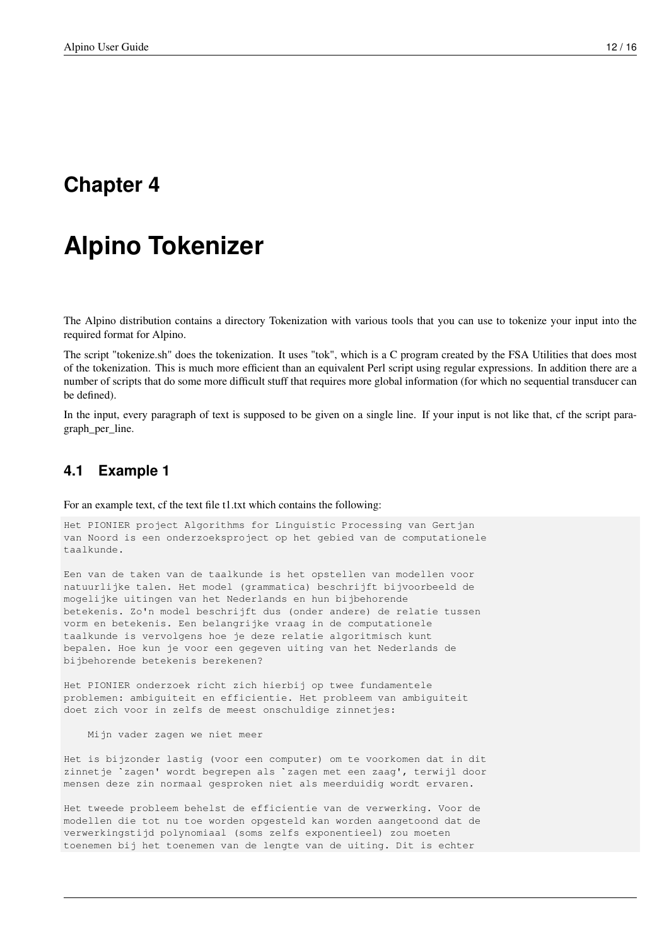# <span id="page-15-0"></span>**Alpino Tokenizer**

The Alpino distribution contains a directory Tokenization with various tools that you can use to tokenize your input into the required format for Alpino.

The script "tokenize.sh" does the tokenization. It uses "tok", which is a C program created by the FSA Utilities that does most of the tokenization. This is much more efficient than an equivalent Perl script using regular expressions. In addition there are a number of scripts that do some more difficult stuff that requires more global information (for which no sequential transducer can be defined).

In the input, every paragraph of text is supposed to be given on a single line. If your input is not like that, cf the script paragraph\_per\_line.

#### <span id="page-15-1"></span>**4.1 Example 1**

For an example text, cf the text file t1.txt which contains the following:

Het PIONIER project Algorithms for Linguistic Processing van Gertjan van Noord is een onderzoeksproject op het gebied van de computationele taalkunde.

Een van de taken van de taalkunde is het opstellen van modellen voor natuurlijke talen. Het model (grammatica) beschrijft bijvoorbeeld de mogelijke uitingen van het Nederlands en hun bijbehorende betekenis. Zo'n model beschrijft dus (onder andere) de relatie tussen vorm en betekenis. Een belangrijke vraag in de computationele taalkunde is vervolgens hoe je deze relatie algoritmisch kunt bepalen. Hoe kun je voor een gegeven uiting van het Nederlands de bijbehorende betekenis berekenen?

Het PIONIER onderzoek richt zich hierbij op twee fundamentele problemen: ambiguiteit en efficientie. Het probleem van ambiguiteit doet zich voor in zelfs de meest onschuldige zinnetjes:

Mijn vader zagen we niet meer

Het is bijzonder lastig (voor een computer) om te voorkomen dat in dit Mijn vader zagen we niet meer<br>Het is bijzonder lastig (voor een computer) om te voorkomen dat in dit<br>zinnetje `zagen' wordt begrepen als `zagen met een zaag', terwijl door mensen deze zin normaal gesproken niet als meerduidig wordt ervaren.

Het tweede probleem behelst de efficientie van de verwerking. Voor de modellen die tot nu toe worden opgesteld kan worden aangetoond dat de verwerkingstijd polynomiaal (soms zelfs exponentieel) zou moeten toenemen bij het toenemen van de lengte van de uiting. Dit is echter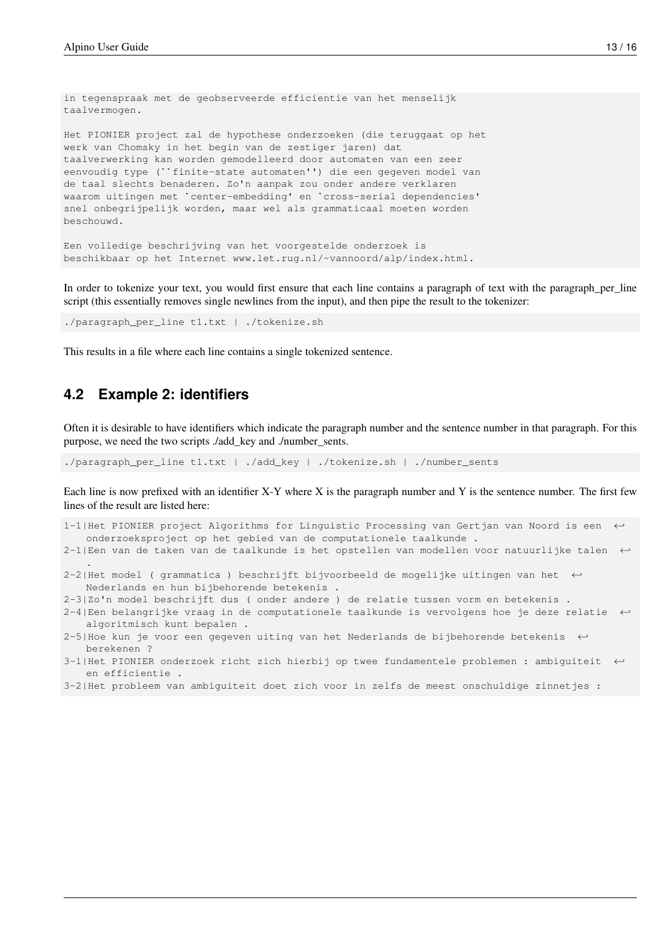in tegenspraak met de geobserveerde efficientie van het menselijk taalvermogen. Het PIONIER project zal de hypothese onderzoeken (die teruggaat op het werk van Chomsky in het begin van de zestiger jaren) dat taalverwerking kan worden gemodelleerd door automaten van een zeer eenvoudig type (``finite-state automaten'') die een gegeven model van de taal slechts benaderen. Zo'n aanpak zou onder andere verklaren waarom uitingen met `center-embedding' en `cross-serial dependencies' snel onbegrijpelijk worden, maar wel als grammaticaal moeten worden beschouwd.

```
Een volledige beschrijving van het voorgestelde onderzoek is
beschikbaar op het Internet www.let.rug.nl/~vannoord/alp/index.html.
```
In order to tokenize your text, you would first ensure that each line contains a paragraph of text with the paragraph\_per\_line script (this essentially removes single newlines from the input), and then pipe the result to the tokenizer:

./paragraph\_per\_line t1.txt | ./tokenize.sh

This results in a file where each line contains a single tokenized sentence.

#### <span id="page-16-0"></span>**4.2 Example 2: identifiers**

.

Often it is desirable to have identifiers which indicate the paragraph number and the sentence number in that paragraph. For this purpose, we need the two scripts ./add\_key and ./number\_sents.

./paragraph\_per\_line t1.txt | ./add\_key | ./tokenize.sh | ./number\_sents

Each line is now prefixed with an identifier X-Y where X is the paragraph number and Y is the sentence number. The first few lines of the result are listed here:

- 1-1|Het PIONIER project Algorithms for Linguistic Processing van Gertjan van Noord is een ← onderzoeksproject op het gebied van de computationele taalkunde .
- 2-1|Een van de taken van de taalkunde is het opstellen van modellen voor natuurlijke talen ←
- 2-2|Het model ( grammatica ) beschrijft bijvoorbeeld de mogelijke uitingen van het ←- Nederlands en hun bijbehorende betekenis .
- 2-3|Zo'n model beschrijft dus ( onder andere ) de relatie tussen vorm en betekenis .
- 2-4|Een belangrijke vraag in de computationele taalkunde is vervolgens hoe je deze relatie ← algoritmisch kunt bepalen .
- 2-5|Hoe kun je voor een gegeven uiting van het Nederlands de bijbehorende betekenis ← berekenen ?
- 3-1|Het PIONIER onderzoek richt zich hierbij op twee fundamentele problemen : ambiguiteit ← en efficientie .
- 3-2|Het probleem van ambiguiteit doet zich voor in zelfs de meest onschuldige zinnetjes :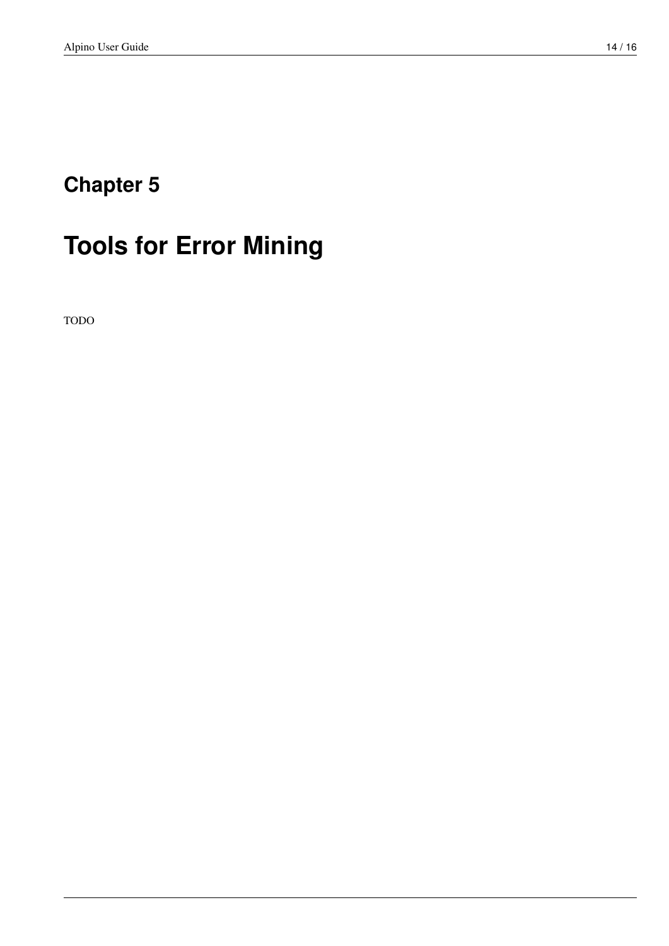# <span id="page-17-0"></span>**Tools for Error Mining**

TODO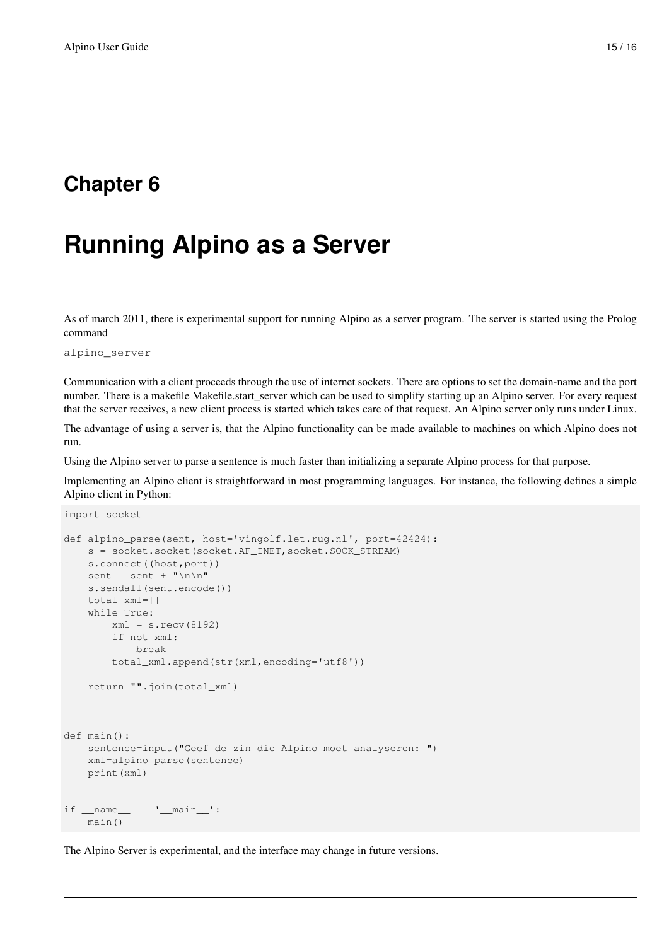## <span id="page-18-0"></span>**Running Alpino as a Server**

As of march 2011, there is experimental support for running Alpino as a server program. The server is started using the Prolog command

alpino\_server

Communication with a client proceeds through the use of internet sockets. There are options to set the domain-name and the port number. There is a makefile Makefile.start\_server which can be used to simplify starting up an Alpino server. For every request that the server receives, a new client process is started which takes care of that request. An Alpino server only runs under Linux.

The advantage of using a server is, that the Alpino functionality can be made available to machines on which Alpino does not run.

Using the Alpino server to parse a sentence is much faster than initializing a separate Alpino process for that purpose.

Implementing an Alpino client is straightforward in most programming languages. For instance, the following defines a simple Alpino client in Python:

```
import socket
def alpino_parse(sent, host='vingolf.let.rug.nl', port=42424):
    s = socket.socket(socket.AF_INET,socket.SOCK_STREAM)
    s.connect((host,port))
    sent = sent + "\n\n\ln^ns.sendall(sent.encode())
    total_xml=[]
    while True:
        xml = s \cdot recv(8192)if not xml:
            break
        total_xml.append(str(xml,encoding='utf8'))
    return "".join(total_xml)
def main():
    sentence=input("Geef de zin die Alpino moet analyseren: ")
    xml=alpino_parse(sentence)
    print(xml)
if __name__ == '__main__':main()
```
The Alpino Server is experimental, and the interface may change in future versions.